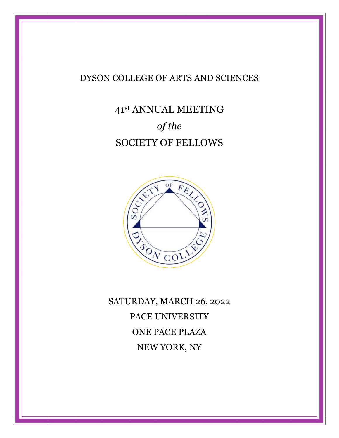# DYSON COLLEGE OF ARTS AND SCIENCES

# 41st ANNUAL MEETING of the SOCIETY OF FELLOWS



SATURDAY, MARCH 26, 2022 PACE UNIVERSITY ONE PACE PLAZA NEW YORK, NY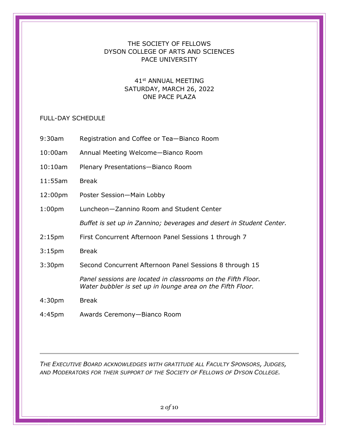## THE SOCIETY OF FELLOWS DYSON COLLEGE OF ARTS AND SCIENCES PACE UNIVERSITY

## 41st ANNUAL MEETING SATURDAY, MARCH 26, 2022 ONE PACE PLAZA

#### FULL-DAY SCHEDULE

- 9:30am Registration and Coffee or Tea—Bianco Room
- 10:00am Annual Meeting Welcome—Bianco Room
- 10:10am Plenary Presentations—Bianco Room
- 11:55am Break
- 12:00pm Poster Session—Main Lobby
- 1:00pm Luncheon—Zannino Room and Student Center

Buffet is set up in Zannino; beverages and desert in Student Center.

- 2:15pm First Concurrent Afternoon Panel Sessions 1 through 7
- 3:15pm Break
- 3:30pm Second Concurrent Afternoon Panel Sessions 8 through 15

Panel sessions are located in classrooms on the Fifth Floor. Water bubbler is set up in lounge area on the Fifth Floor.

- 4:30pm Break
- 4:45pm Awards Ceremony—Bianco Room

THE EXECUTIVE BOARD ACKNOWLEDGES WITH GRATITUDE ALL FACULTY SPONSORS, JUDGES, AND MODERATORS FOR THEIR SUPPORT OF THE SOCIETY OF FELLOWS OF DYSON COLLEGE.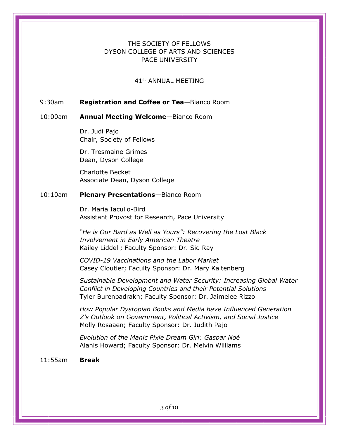## THE SOCIETY OF FELLOWS DYSON COLLEGE OF ARTS AND SCIENCES PACE UNIVERSITY

41st ANNUAL MEETING

#### 9:30am Registration and Coffee or Tea-Bianco Room

#### 10:00am Annual Meeting Welcome—Bianco Room

Dr. Judi Pajo Chair, Society of Fellows

Dr. Tresmaine Grimes Dean, Dyson College

Charlotte Becket Associate Dean, Dyson College

#### 10:10am Plenary Presentations-Bianco Room

Dr. Maria Iacullo-Bird Assistant Provost for Research, Pace University

"He is Our Bard as Well as Yours": Recovering the Lost Black Involvement in Early American Theatre Kailey Liddell; Faculty Sponsor: Dr. Sid Ray

COVID-19 Vaccinations and the Labor Market Casey Cloutier; Faculty Sponsor: Dr. Mary Kaltenberg

Sustainable Development and Water Security: Increasing Global Water Conflict in Developing Countries and their Potential Solutions Tyler Burenbadrakh; Faculty Sponsor: Dr. Jaimelee Rizzo

How Popular Dystopian Books and Media have Influenced Generation Z's Outlook on Government, Political Activism, and Social Justice Molly Rosaaen; Faculty Sponsor: Dr. Judith Pajo

Evolution of the Manic Pixie Dream Girl: Gaspar Noé Alanis Howard; Faculty Sponsor: Dr. Melvin Williams

11:55am Break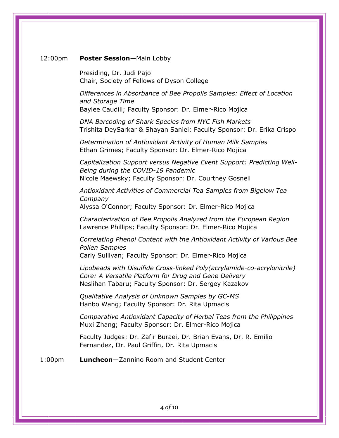#### 12:00pm Poster Session-Main Lobby

Presiding, Dr. Judi Pajo Chair, Society of Fellows of Dyson College

Differences in Absorbance of Bee Propolis Samples: Effect of Location and Storage Time Baylee Caudill; Faculty Sponsor: Dr. Elmer-Rico Mojica

DNA Barcoding of Shark Species from NYC Fish Markets Trishita DeySarkar & Shayan Saniei; Faculty Sponsor: Dr. Erika Crispo

Determination of Antioxidant Activity of Human Milk Samples Ethan Grimes; Faculty Sponsor: Dr. Elmer-Rico Mojica

Capitalization Support versus Negative Event Support: Predicting Well-Being during the COVID-19 Pandemic Nicole Maewsky; Faculty Sponsor: Dr. Courtney Gosnell

Antioxidant Activities of Commercial Tea Samples from Bigelow Tea Company Alyssa O'Connor; Faculty Sponsor: Dr. Elmer-Rico Mojica

Characterization of Bee Propolis Analyzed from the European Region Lawrence Phillips; Faculty Sponsor: Dr. Elmer-Rico Mojica

Correlating Phenol Content with the Antioxidant Activity of Various Bee Pollen Samples Carly Sullivan; Faculty Sponsor: Dr. Elmer-Rico Mojica

Lipobeads with Disulfide Cross-linked Poly(acrylamide-co-acrylonitrile) Core: A Versatile Platform for Drug and Gene Delivery Neslihan Tabaru; Faculty Sponsor: Dr. Sergey Kazakov

Qualitative Analysis of Unknown Samples by GC-MS Hanbo Wang; Faculty Sponsor: Dr. Rita Upmacis

Comparative Antioxidant Capacity of Herbal Teas from the Philippines Muxi Zhang; Faculty Sponsor: Dr. Elmer-Rico Mojica

Faculty Judges: Dr. Zafir Buraei, Dr. Brian Evans, Dr. R. Emilio Fernandez, Dr. Paul Griffin, Dr. Rita Upmacis

1:00pm Luncheon-Zannino Room and Student Center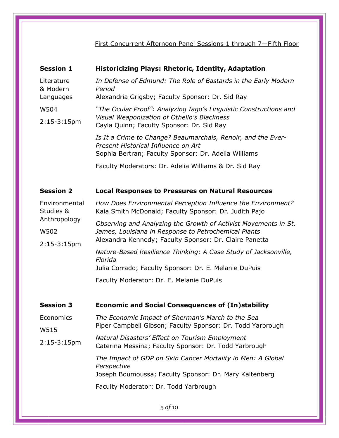## First Concurrent Afternoon Panel Sessions 1 through 7—Fifth Floor

| <b>Session 1</b>                    | <b>Historicizing Plays: Rhetoric, Identity, Adaptation</b>                                                                                                                        |
|-------------------------------------|-----------------------------------------------------------------------------------------------------------------------------------------------------------------------------------|
| Literature<br>& Modern              | In Defense of Edmund: The Role of Bastards in the Early Modern<br>Period                                                                                                          |
| Languages                           | Alexandria Grigsby; Faculty Sponsor: Dr. Sid Ray                                                                                                                                  |
| W504                                | "The Ocular Proof": Analyzing Iago's Linguistic Constructions and                                                                                                                 |
| $2:15-3:15$ pm                      | Visual Weaponization of Othello's Blackness<br>Cayla Quinn; Faculty Sponsor: Dr. Sid Ray                                                                                          |
|                                     | Is It a Crime to Change? Beaumarchais, Renoir, and the Ever-<br>Present Historical Influence on Art<br>Sophia Bertran; Faculty Sponsor: Dr. Adelia Williams                       |
|                                     | Faculty Moderators: Dr. Adelia Williams & Dr. Sid Ray                                                                                                                             |
|                                     |                                                                                                                                                                                   |
| <b>Session 2</b>                    | <b>Local Responses to Pressures on Natural Resources</b>                                                                                                                          |
| Environmental<br>Studies &          | How Does Environmental Perception Influence the Environment?<br>Kaia Smith McDonald; Faculty Sponsor: Dr. Judith Pajo                                                             |
| Anthropology<br>W502<br>2:15-3:15pm | Observing and Analyzing the Growth of Activist Movements in St.<br>James, Louisiana in Response to Petrochemical Plants<br>Alexandra Kennedy; Faculty Sponsor: Dr. Claire Panetta |
|                                     | Nature-Based Resilience Thinking: A Case Study of Jacksonville,<br>Florida<br>Julia Corrado; Faculty Sponsor: Dr. E. Melanie DuPuis                                               |
|                                     |                                                                                                                                                                                   |
|                                     | Faculty Moderator: Dr. E. Melanie DuPuis                                                                                                                                          |
|                                     |                                                                                                                                                                                   |
| <b>Session 3</b>                    | <b>Economic and Social Consequences of (In)stability</b>                                                                                                                          |
| Economics                           | The Economic Impact of Sherman's March to the Sea                                                                                                                                 |
| W515                                | Piper Campbell Gibson; Faculty Sponsor: Dr. Todd Yarbrough                                                                                                                        |
| $2:15-3:15$ pm                      | Natural Disasters' Effect on Tourism Employment<br>Caterina Messina; Faculty Sponsor: Dr. Todd Yarbrough                                                                          |
|                                     | The Impact of GDP on Skin Cancer Mortality in Men: A Global<br>Perspective<br>Joseph Boumoussa; Faculty Sponsor: Dr. Mary Kaltenberg                                              |
|                                     |                                                                                                                                                                                   |
|                                     | Faculty Moderator: Dr. Todd Yarbrough                                                                                                                                             |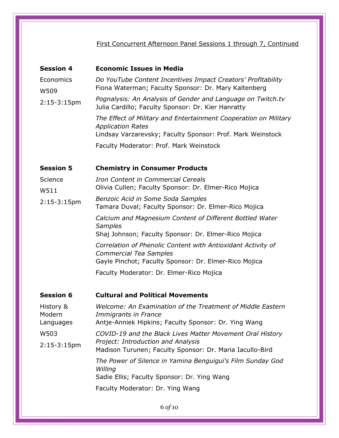# First Concurrent Afternoon Panel Sessions 1 through 7, Continued

| Economics<br>Do YouTube Content Incentives Impact Creators' Profitability<br>Fiona Waterman; Faculty Sponsor: Dr. Mary Kaltenberg<br>W509<br>Pognalysis: An Analysis of Gender and Language on Twitch.tv<br>$2:15-3:15$ pm<br>Julia Cardillo; Faculty Sponsor: Dr. Kier Hanratty<br>The Effect of Military and Entertainment Cooperation on Military<br><b>Application Rates</b><br>Lindsay Varzarevsky; Faculty Sponsor: Prof. Mark Weinstock<br>Faculty Moderator: Prof. Mark Weinstock<br><b>Session 5</b><br><b>Chemistry in Consumer Products</b><br>Science<br>Iron Content in Commercial Cereals<br>Olivia Cullen; Faculty Sponsor: Dr. Elmer-Rico Mojica<br>W511<br>Benzoic Acid in Some Soda Samples<br>$2:15-3:15$ pm<br>Tamara Duval; Faculty Sponsor: Dr. Elmer-Rico Mojica<br>Calcium and Magnesium Content of Different Bottled Water<br><b>Samples</b><br>Shaj Johnson; Faculty Sponsor: Dr. Elmer-Rico Mojica<br>Correlation of Phenolic Content with Antioxidant Activity of<br><b>Commercial Tea Samples</b><br>Gayle Pinchot; Faculty Sponsor: Dr. Elmer-Rico Mojica<br>Faculty Moderator: Dr. Elmer-Rico Mojica<br><b>Session 6</b><br><b>Cultural and Political Movements</b><br>Welcome: An Examination of the Treatment of Middle Eastern<br>History &<br>Modern<br>Immigrants in France<br>Antje-Anniek Hipkins; Faculty Sponsor: Dr. Ying Wang<br>Languages<br>W503<br>COVID-19 and the Black Lives Matter Movement Oral History<br>Project: Introduction and Analysis<br>$2:15-3:15$ pm<br>Madison Turunen; Faculty Sponsor: Dr. Maria Iacullo-Bird<br>The Power of Silence in Yamina Benguigui's Film Sunday God<br>Willing<br>Sadie Ellis; Faculty Sponsor: Dr. Ying Wang<br>Faculty Moderator: Dr. Ying Wang | <b>Session 4</b> | <b>Economic Issues in Media</b> |
|-------------------------------------------------------------------------------------------------------------------------------------------------------------------------------------------------------------------------------------------------------------------------------------------------------------------------------------------------------------------------------------------------------------------------------------------------------------------------------------------------------------------------------------------------------------------------------------------------------------------------------------------------------------------------------------------------------------------------------------------------------------------------------------------------------------------------------------------------------------------------------------------------------------------------------------------------------------------------------------------------------------------------------------------------------------------------------------------------------------------------------------------------------------------------------------------------------------------------------------------------------------------------------------------------------------------------------------------------------------------------------------------------------------------------------------------------------------------------------------------------------------------------------------------------------------------------------------------------------------------------------------------------------------------------------------------------------------------------------------------|------------------|---------------------------------|
|                                                                                                                                                                                                                                                                                                                                                                                                                                                                                                                                                                                                                                                                                                                                                                                                                                                                                                                                                                                                                                                                                                                                                                                                                                                                                                                                                                                                                                                                                                                                                                                                                                                                                                                                           |                  |                                 |
|                                                                                                                                                                                                                                                                                                                                                                                                                                                                                                                                                                                                                                                                                                                                                                                                                                                                                                                                                                                                                                                                                                                                                                                                                                                                                                                                                                                                                                                                                                                                                                                                                                                                                                                                           |                  |                                 |
|                                                                                                                                                                                                                                                                                                                                                                                                                                                                                                                                                                                                                                                                                                                                                                                                                                                                                                                                                                                                                                                                                                                                                                                                                                                                                                                                                                                                                                                                                                                                                                                                                                                                                                                                           |                  |                                 |
|                                                                                                                                                                                                                                                                                                                                                                                                                                                                                                                                                                                                                                                                                                                                                                                                                                                                                                                                                                                                                                                                                                                                                                                                                                                                                                                                                                                                                                                                                                                                                                                                                                                                                                                                           |                  |                                 |
|                                                                                                                                                                                                                                                                                                                                                                                                                                                                                                                                                                                                                                                                                                                                                                                                                                                                                                                                                                                                                                                                                                                                                                                                                                                                                                                                                                                                                                                                                                                                                                                                                                                                                                                                           |                  |                                 |
|                                                                                                                                                                                                                                                                                                                                                                                                                                                                                                                                                                                                                                                                                                                                                                                                                                                                                                                                                                                                                                                                                                                                                                                                                                                                                                                                                                                                                                                                                                                                                                                                                                                                                                                                           |                  |                                 |
|                                                                                                                                                                                                                                                                                                                                                                                                                                                                                                                                                                                                                                                                                                                                                                                                                                                                                                                                                                                                                                                                                                                                                                                                                                                                                                                                                                                                                                                                                                                                                                                                                                                                                                                                           |                  |                                 |
|                                                                                                                                                                                                                                                                                                                                                                                                                                                                                                                                                                                                                                                                                                                                                                                                                                                                                                                                                                                                                                                                                                                                                                                                                                                                                                                                                                                                                                                                                                                                                                                                                                                                                                                                           |                  |                                 |
|                                                                                                                                                                                                                                                                                                                                                                                                                                                                                                                                                                                                                                                                                                                                                                                                                                                                                                                                                                                                                                                                                                                                                                                                                                                                                                                                                                                                                                                                                                                                                                                                                                                                                                                                           |                  |                                 |
|                                                                                                                                                                                                                                                                                                                                                                                                                                                                                                                                                                                                                                                                                                                                                                                                                                                                                                                                                                                                                                                                                                                                                                                                                                                                                                                                                                                                                                                                                                                                                                                                                                                                                                                                           |                  |                                 |
|                                                                                                                                                                                                                                                                                                                                                                                                                                                                                                                                                                                                                                                                                                                                                                                                                                                                                                                                                                                                                                                                                                                                                                                                                                                                                                                                                                                                                                                                                                                                                                                                                                                                                                                                           |                  |                                 |
|                                                                                                                                                                                                                                                                                                                                                                                                                                                                                                                                                                                                                                                                                                                                                                                                                                                                                                                                                                                                                                                                                                                                                                                                                                                                                                                                                                                                                                                                                                                                                                                                                                                                                                                                           |                  |                                 |
|                                                                                                                                                                                                                                                                                                                                                                                                                                                                                                                                                                                                                                                                                                                                                                                                                                                                                                                                                                                                                                                                                                                                                                                                                                                                                                                                                                                                                                                                                                                                                                                                                                                                                                                                           |                  |                                 |
|                                                                                                                                                                                                                                                                                                                                                                                                                                                                                                                                                                                                                                                                                                                                                                                                                                                                                                                                                                                                                                                                                                                                                                                                                                                                                                                                                                                                                                                                                                                                                                                                                                                                                                                                           |                  |                                 |
|                                                                                                                                                                                                                                                                                                                                                                                                                                                                                                                                                                                                                                                                                                                                                                                                                                                                                                                                                                                                                                                                                                                                                                                                                                                                                                                                                                                                                                                                                                                                                                                                                                                                                                                                           |                  |                                 |
|                                                                                                                                                                                                                                                                                                                                                                                                                                                                                                                                                                                                                                                                                                                                                                                                                                                                                                                                                                                                                                                                                                                                                                                                                                                                                                                                                                                                                                                                                                                                                                                                                                                                                                                                           |                  |                                 |
|                                                                                                                                                                                                                                                                                                                                                                                                                                                                                                                                                                                                                                                                                                                                                                                                                                                                                                                                                                                                                                                                                                                                                                                                                                                                                                                                                                                                                                                                                                                                                                                                                                                                                                                                           |                  |                                 |
|                                                                                                                                                                                                                                                                                                                                                                                                                                                                                                                                                                                                                                                                                                                                                                                                                                                                                                                                                                                                                                                                                                                                                                                                                                                                                                                                                                                                                                                                                                                                                                                                                                                                                                                                           |                  |                                 |
|                                                                                                                                                                                                                                                                                                                                                                                                                                                                                                                                                                                                                                                                                                                                                                                                                                                                                                                                                                                                                                                                                                                                                                                                                                                                                                                                                                                                                                                                                                                                                                                                                                                                                                                                           |                  |                                 |
|                                                                                                                                                                                                                                                                                                                                                                                                                                                                                                                                                                                                                                                                                                                                                                                                                                                                                                                                                                                                                                                                                                                                                                                                                                                                                                                                                                                                                                                                                                                                                                                                                                                                                                                                           |                  |                                 |
|                                                                                                                                                                                                                                                                                                                                                                                                                                                                                                                                                                                                                                                                                                                                                                                                                                                                                                                                                                                                                                                                                                                                                                                                                                                                                                                                                                                                                                                                                                                                                                                                                                                                                                                                           |                  |                                 |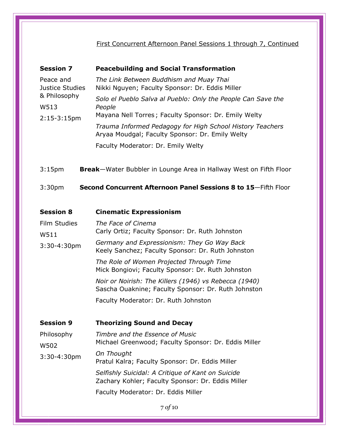First Concurrent Afternoon Panel Sessions 1 through 7, Continued

| <b>Session 7</b>                                                       | <b>Peacebuilding and Social Transformation</b>                                                                                 |
|------------------------------------------------------------------------|--------------------------------------------------------------------------------------------------------------------------------|
| Peace and<br>Justice Studies<br>& Philosophy<br>W513<br>$2:15-3:15$ pm | The Link Between Buddhism and Muay Thai<br>Nikki Nguyen; Faculty Sponsor: Dr. Eddis Miller                                     |
|                                                                        | Solo el Pueblo Salva al Pueblo: Only the People Can Save the<br>People<br>Mayana Nell Torres; Faculty Sponsor: Dr. Emily Welty |
|                                                                        | Trauma Informed Pedagogy for High School History Teachers<br>Aryaa Moudgal; Faculty Sponsor: Dr. Emily Welty                   |
|                                                                        | Faculty Moderator: Dr. Emily Welty                                                                                             |
| 3:15 <sub>pm</sub>                                                     | <b>Break</b> —Water Bubbler in Lounge Area in Hallway West on Fifth Floor                                                      |
| 3:30 <sub>pm</sub>                                                     | Second Concurrent Afternoon Panel Sessions 8 to 15–Fifth Floor                                                                 |

| <b>Session 8</b>     | <b>Cinematic Expressionism</b>                                                                               |
|----------------------|--------------------------------------------------------------------------------------------------------------|
| Film Studies<br>W511 | The Face of Cinema<br>Carly Ortiz; Faculty Sponsor: Dr. Ruth Johnston                                        |
| 3:30-4:30pm          | Germany and Expressionism: They Go Way Back<br>Keely Sanchez; Faculty Sponsor: Dr. Ruth Johnston             |
|                      | The Role of Women Projected Through Time<br>Mick Bongiovi; Faculty Sponsor: Dr. Ruth Johnston                |
|                      | Noir or Noirish: The Killers (1946) vs Rebecca (1940)<br>Sascha Ouaknine; Faculty Sponsor: Dr. Ruth Johnston |
|                      | Faculty Moderator: Dr. Ruth Johnston                                                                         |
|                      |                                                                                                              |
| <b>Session 9</b>     | <b>Theorizing Sound and Decay</b>                                                                            |
| Philosophy<br>W502   | Timbre and the Essence of Music<br>Michael Greenwood; Faculty Sponsor: Dr. Eddis Miller                      |
| $3:30 - 4:30$ pm     | On Thought<br>Pratul Kalra; Faculty Sponsor: Dr. Eddis Miller                                                |
|                      | Selfishly Suicidal: A Critique of Kant on Suicide<br>Zachary Kohler; Faculty Sponsor: Dr. Eddis Miller       |
|                      | Faculty Moderator: Dr. Eddis Miller                                                                          |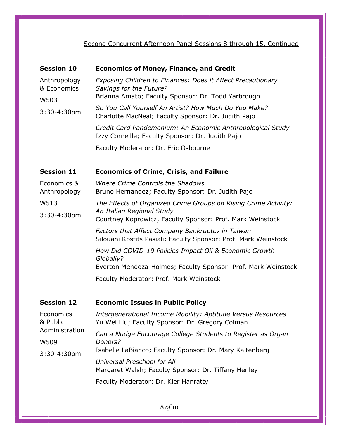# Second Concurrent Afternoon Panel Sessions 8 through 15, Continued

| <b>Session 10</b>           | <b>Economics of Money, Finance, and Credit</b>                                                                      |
|-----------------------------|---------------------------------------------------------------------------------------------------------------------|
| Anthropology<br>& Economics | Exposing Children to Finances: Does it Affect Precautionary<br>Savings for the Future?                              |
| W503                        | Brianna Amato; Faculty Sponsor: Dr. Todd Yarbrough                                                                  |
| $3:30-4:30$ pm              | So You Call Yourself An Artist? How Much Do You Make?<br>Charlotte MacNeal; Faculty Sponsor: Dr. Judith Pajo        |
|                             | Credit Card Pandemonium: An Economic Anthropological Study<br>Izzy Corneille; Faculty Sponsor: Dr. Judith Pajo      |
|                             | Faculty Moderator: Dr. Eric Osbourne                                                                                |
| <b>Session 11</b>           | <b>Economics of Crime, Crisis, and Failure</b>                                                                      |
| Economics &<br>Anthropology | Where Crime Controls the Shadows<br>Bruno Hernandez; Faculty Sponsor: Dr. Judith Pajo                               |
| W513                        | The Effects of Organized Crime Groups on Rising Crime Activity:                                                     |
| $3:30-4:30$ pm              | An Italian Regional Study<br>Courtney Koprowicz; Faculty Sponsor: Prof. Mark Weinstock                              |
|                             | Factors that Affect Company Bankruptcy in Taiwan<br>Silouani Kostits Pasiali; Faculty Sponsor: Prof. Mark Weinstock |
|                             | How Did COVID-19 Policies Impact Oil & Economic Growth<br>Globally?                                                 |
|                             | Everton Mendoza-Holmes; Faculty Sponsor: Prof. Mark Weinstock                                                       |
|                             | Faculty Moderator: Prof. Mark Weinstock                                                                             |
| <b>Session 12</b>           | <b>Economic Issues in Public Policy</b>                                                                             |
| Economics<br>& Public       | Intergenerational Income Mobility: Aptitude Versus Resources<br>Yu Wei Liu; Faculty Sponsor: Dr. Gregory Colman     |
| Administration              | Can a Nudge Encourage College Students to Register as Organ                                                         |
| W509                        | Donors?<br>Isabelle LaBianco; Faculty Sponsor: Dr. Mary Kaltenberg                                                  |
| 3:30-4:30pm                 | Universal Preschool for All                                                                                         |
|                             | Margaret Walsh; Faculty Sponsor: Dr. Tiffany Henley                                                                 |
|                             | Faculty Moderator: Dr. Kier Hanratty                                                                                |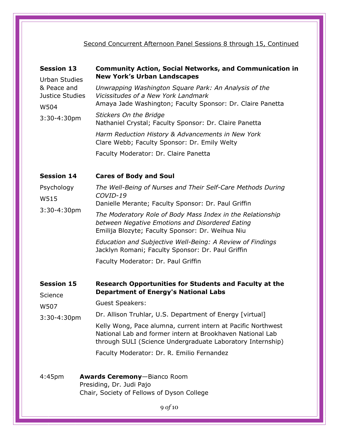Second Concurrent Afternoon Panel Sessions 8 through 15, Continued

| <b>Session 13</b>                                                                | <b>Community Action, Social Networks, and Communication in</b><br><b>New York's Urban Landscapes</b>                                                                                    |
|----------------------------------------------------------------------------------|-----------------------------------------------------------------------------------------------------------------------------------------------------------------------------------------|
| <b>Urban Studies</b><br>& Peace and<br>Justice Studies<br>W504<br>$3:30-4:30$ pm | Unwrapping Washington Square Park: An Analysis of the<br>Vicissitudes of a New York Landmark<br>Amaya Jade Washington; Faculty Sponsor: Dr. Claire Panetta                              |
|                                                                                  | <b>Stickers On the Bridge</b><br>Nathaniel Crystal; Faculty Sponsor: Dr. Claire Panetta                                                                                                 |
|                                                                                  | Harm Reduction History & Advancements in New York<br>Clare Webb; Faculty Sponsor: Dr. Emily Welty                                                                                       |
|                                                                                  | Faculty Moderator: Dr. Claire Panetta                                                                                                                                                   |
| <b>Session 14</b>                                                                | <b>Cares of Body and Soul</b>                                                                                                                                                           |
| Psychology<br>W515<br>$3:30 - 4:30$ pm                                           | The Well-Being of Nurses and Their Self-Care Methods During<br>COVID-19<br>Danielle Merante; Faculty Sponsor: Dr. Paul Griffin                                                          |
|                                                                                  | The Moderatory Role of Body Mass Index in the Relationship<br>between Negative Emotions and Disordered Eating<br>Emilija Blozyte; Faculty Sponsor: Dr. Weihua Niu                       |
|                                                                                  | Education and Subjective Well-Being: A Review of Findings<br>Jacklyn Romani; Faculty Sponsor: Dr. Paul Griffin                                                                          |
|                                                                                  | Faculty Moderator: Dr. Paul Griffin                                                                                                                                                     |
| <b>Session 15</b><br>Science                                                     | <b>Research Opportunities for Students and Faculty at the</b><br><b>Department of Energy's National Labs</b>                                                                            |
| W507<br>$3:30 - 4:30$ pm                                                         | <b>Guest Speakers:</b>                                                                                                                                                                  |
|                                                                                  | Dr. Allison Truhlar, U.S. Department of Energy [virtual]                                                                                                                                |
|                                                                                  | Kelly Wong, Pace alumna, current intern at Pacific Northwest<br>National Lab and former intern at Brookhaven National Lab<br>through SULI (Science Undergraduate Laboratory Internship) |
|                                                                                  | Faculty Moderator: Dr. R. Emilio Fernandez                                                                                                                                              |
| 4:45 <sub>pm</sub>                                                               | <b>Awards Ceremony-Bianco Room</b><br>Presiding, Dr. Judi Pajo<br>Chair, Society of Fellows of Dyson College                                                                            |
|                                                                                  | 0.0110                                                                                                                                                                                  |